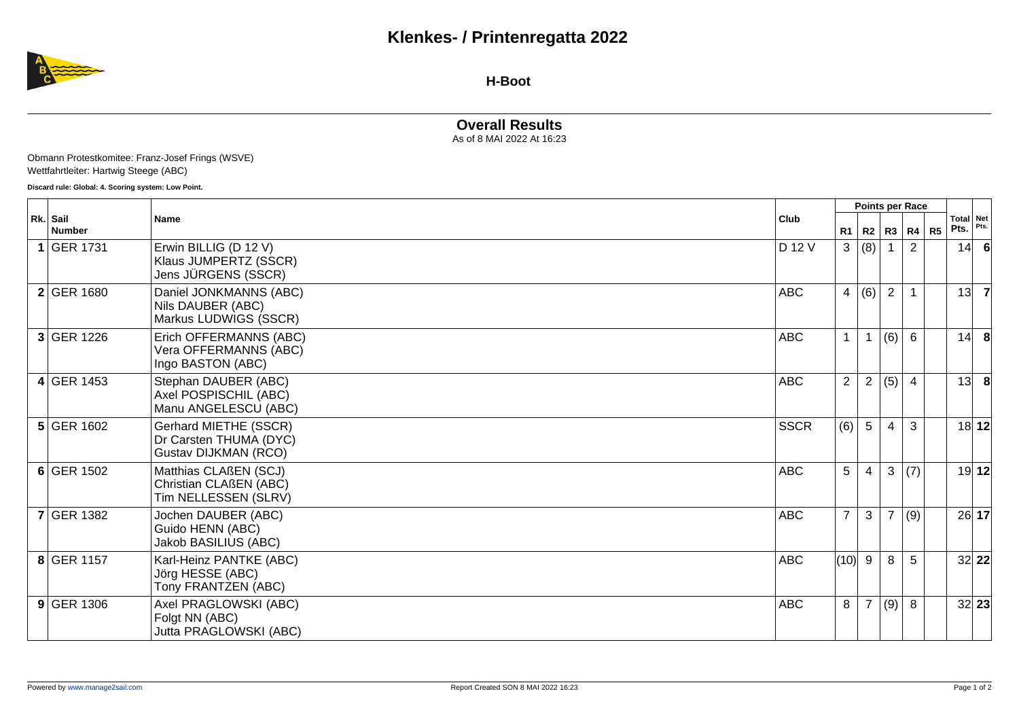

**H-Boot**

**Overall Results**

As of 8 MAI 2022 At 16:23

Obmann Protestkomitee: Franz-Josef Frings (WSVE) Wettfahrtleiter: Hartwig Steege (ABC)

**Discard rule: Global: 4. Scoring system: Low Point.**

| Rk. Sail<br><b>Number</b> | <b>Name</b>                                                             | Club        | Points per Race |                  |                |                |                |      |                   |
|---------------------------|-------------------------------------------------------------------------|-------------|-----------------|------------------|----------------|----------------|----------------|------|-------------------|
|                           |                                                                         |             | R1              |                  | R2 R3 R4       |                | R <sub>5</sub> | Pts. | Total Net<br>Pts. |
| 1 GER 1731                | Erwin BILLIG (D 12 V)<br>Klaus JUMPERTZ (SSCR)<br>Jens JÜRGENS (SSCR)   | D 12 V      | 3               | (8)              |                | 2              |                | 14   |                   |
| 2 GER 1680                | Daniel JONKMANNS (ABC)<br>Nils DAUBER (ABC)<br>Markus LUDWIGS (SSCR)    | <b>ABC</b>  | $\overline{4}$  | (6)              | $\overline{2}$ |                |                | 13   | $\overline{7}$    |
| 3 GER 1226                | Erich OFFERMANNS (ABC)<br>Vera OFFERMANNS (ABC)<br>Ingo BASTON (ABC)    | <b>ABC</b>  | $\mathbf{1}$    | $\overline{1}$   | (6)            | $6\phantom{1}$ |                | 14   | 8                 |
| 4 GER 1453                | Stephan DAUBER (ABC)<br>Axel POSPISCHIL (ABC)<br>Manu ANGELESCU (ABC)   | <b>ABC</b>  | $\overline{2}$  | $\boldsymbol{2}$ | (5)            | $\overline{4}$ |                | 13   | -8                |
| $5$ GER 1602              | Gerhard MIETHE (SSCR)<br>Dr Carsten THUMA (DYC)<br>Gustav DIJKMAN (RCO) | <b>SSCR</b> | (6)             | 5                | 4              | 3              |                |      | 18 12             |
| 6 GER 1502                | Matthias CLAßEN (SCJ)<br>Christian CLAßEN (ABC)<br>Tim NELLESSEN (SLRV) | <b>ABC</b>  | 5               | 4                | 3              | (7)            |                |      | 19 12             |
| <b>7 GER 1382</b>         | Jochen DAUBER (ABC)<br>Guido HENN (ABC)<br>Jakob BASILIUS (ABC)         | <b>ABC</b>  | $\overline{7}$  | 3                | $\overline{7}$ | (9)            |                |      | 26 17             |
| 8 GER 1157                | Karl-Heinz PANTKE (ABC)<br>Jörg HESSE (ABC)<br>Tony FRANTZEN (ABC)      | <b>ABC</b>  | (10) 9          |                  | 8              | 5              |                |      | 32 22             |
| $9$ GER 1306              | Axel PRAGLOWSKI (ABC)<br>Folgt NN (ABC)<br>Jutta PRAGLOWSKI (ABC)       | <b>ABC</b>  | 8               | 7                | (9)            | 8              |                |      | 32 23             |